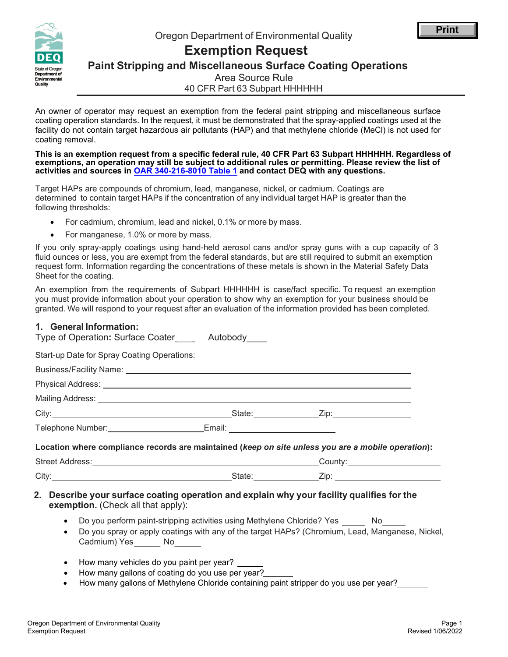



# **Exemption Request**

**Paint Stripping and Miscellaneous Surface Coating Operations**

Area Source Rule

40 CFR Part 63 Subpart HHHHHH

An owner of operator may request an exemption from the federal paint stripping and miscellaneous surface coating operation standards. In the request, it must be demonstrated that the spray-applied coatings used at the facility do not contain target hazardous air pollutants (HAP) and that methylene chloride (MeCl) is not used for coating removal.

**This is an exemption request from a specific federal rule, 40 CFR Part 63 Subpart HHHHHH. Regardless of exemptions, an operation may still be subject to additional rules or permitting. Please review the list of activities and sources in OAR [340-216-8010](https://secure.sos.state.or.us/oard/viewSingleRule.action?ruleVrsnRsn=238864) Table 1 and contact DEQ with any questions.**

Target HAPs are compounds of chromium, lead, manganese, nickel, or cadmium. Coatings are determined to contain target HAPs if the concentration of any individual target HAP is greater than the following thresholds:

- For cadmium, chromium, lead and nickel, 0.1% or more by mass.
- For manganese, 1.0% or more by mass.

If you only spray-apply coatings using hand-held aerosol cans and/or spray guns with a cup capacity of 3 fluid ounces or less, you are exempt from the federal standards, but are still required to submit an exemption request form. Information regarding the concentrations of these metals is shown in the Material Safety Data Sheet for the coating.

An exemption from the requirements of Subpart HHHHHH is case/fact specific. To request an exemption you must provide information about your operation to show why an exemption for your business should be granted. We will respond to your request after an evaluation of the information provided has been completed.

# **1. General Information:**

| Type of Operation: Surface Coater_______ Autobody_____                                             |  |  |  |  |  |
|----------------------------------------------------------------------------------------------------|--|--|--|--|--|
|                                                                                                    |  |  |  |  |  |
|                                                                                                    |  |  |  |  |  |
|                                                                                                    |  |  |  |  |  |
|                                                                                                    |  |  |  |  |  |
|                                                                                                    |  |  |  |  |  |
|                                                                                                    |  |  |  |  |  |
| Location where compliance records are maintained (keep on site unless you are a mobile operation): |  |  |  |  |  |
|                                                                                                    |  |  |  |  |  |
|                                                                                                    |  |  |  |  |  |
| 2. Describe your surface coating operation and explain why your facility qualifies for the         |  |  |  |  |  |

**exemption.** (Check all that apply):

- \_\_\_\_\_\_\_ No\_\_\_\_\_\_ • Do you perform paint-stripping activities using Methylene Chloride? Yes
- \_\_\_\_\_\_ \_\_\_\_\_\_ Cadmium) Yes No • Do you spray or apply coatings with any of the target HAPs? (Chromium, Lead, Manganese, Nickel,
- How many vehicles do you paint per year?
- How many gallons of coating do you use per year?
- How many gallons of Methylene Chloride containing paint stripper do you use per year?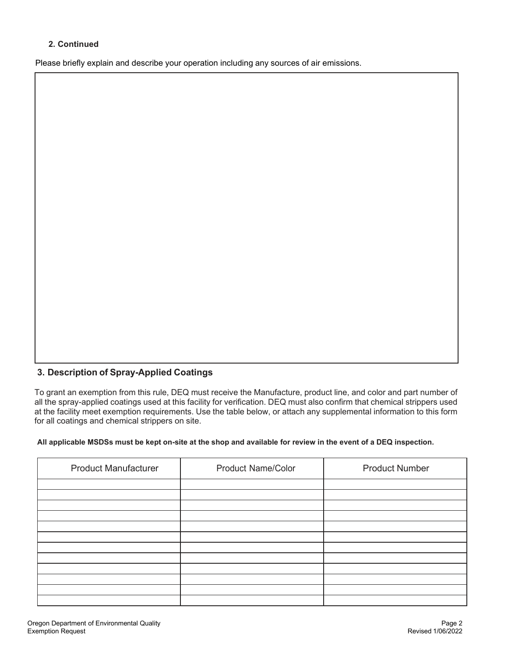# **2. Continued**

Please briefly explain and describe your operation including any sources of air emissions.

# **3. Description of Spray-Applied Coatings**

To grant an exemption from this rule, DEQ must receive the Manufacture, product line, and color and part number of all the spray-applied coatings used at this facility for verification. DEQ must also confirm that chemical strippers used at the facility meet exemption requirements. Use the table below, or attach any supplemental information to this form for all coatings and chemical strippers on site.

#### **All applicable MSDSs must be kept on-site at the shop and available for review in the event of a DEQ inspection.**

| <b>Product Manufacturer</b> | <b>Product Name/Color</b> | <b>Product Number</b> |
|-----------------------------|---------------------------|-----------------------|
|                             |                           |                       |
|                             |                           |                       |
|                             |                           |                       |
|                             |                           |                       |
|                             |                           |                       |
|                             |                           |                       |
|                             |                           |                       |
|                             |                           |                       |
|                             |                           |                       |
|                             |                           |                       |
|                             |                           |                       |
|                             |                           |                       |